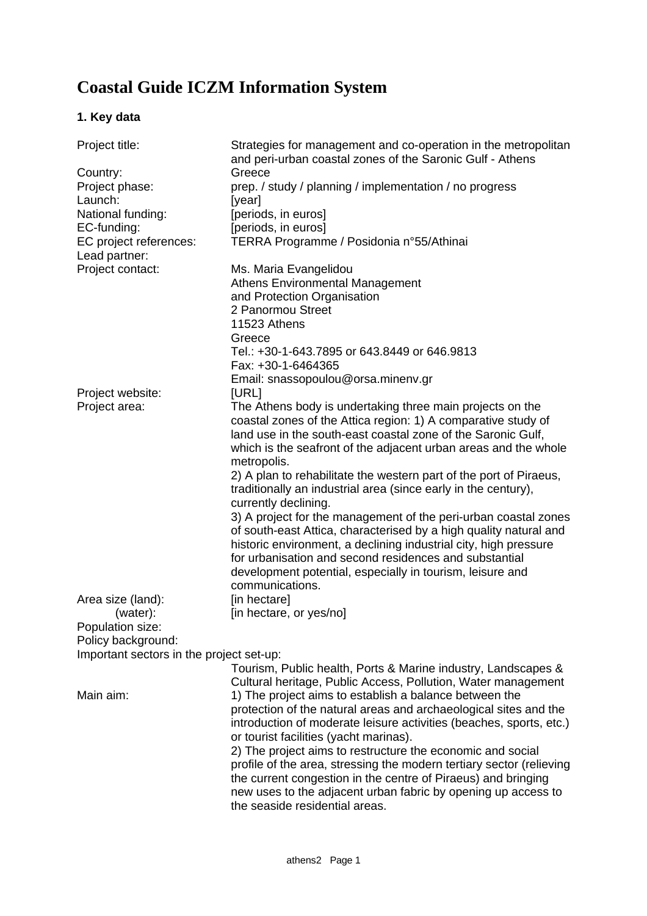# **Coastal Guide ICZM Information System**

# **1. Key data**

| Project title:                           | Strategies for management and co-operation in the metropolitan<br>and peri-urban coastal zones of the Saronic Gulf - Athens |
|------------------------------------------|-----------------------------------------------------------------------------------------------------------------------------|
| Country:                                 | Greece                                                                                                                      |
| Project phase:                           | prep. / study / planning / implementation / no progress                                                                     |
| Launch:                                  | [year]                                                                                                                      |
| National funding:                        | [periods, in euros]                                                                                                         |
| EC-funding:                              | [periods, in euros]                                                                                                         |
| EC project references:                   | TERRA Programme / Posidonia n°55/Athinai                                                                                    |
| Lead partner:                            |                                                                                                                             |
| Project contact:                         | Ms. Maria Evangelidou                                                                                                       |
|                                          | <b>Athens Environmental Management</b>                                                                                      |
|                                          | and Protection Organisation                                                                                                 |
|                                          | 2 Panormou Street                                                                                                           |
|                                          | 11523 Athens                                                                                                                |
|                                          | Greece                                                                                                                      |
|                                          | Tel.: +30-1-643.7895 or 643.8449 or 646.9813                                                                                |
|                                          | Fax: +30-1-6464365                                                                                                          |
|                                          | Email: snassopoulou@orsa.minenv.gr                                                                                          |
| Project website:                         | [URL]                                                                                                                       |
| Project area:                            | The Athens body is undertaking three main projects on the                                                                   |
|                                          | coastal zones of the Attica region: 1) A comparative study of                                                               |
|                                          | land use in the south-east coastal zone of the Saronic Gulf,                                                                |
|                                          | which is the seafront of the adjacent urban areas and the whole                                                             |
|                                          | metropolis.                                                                                                                 |
|                                          | 2) A plan to rehabilitate the western part of the port of Piraeus,                                                          |
|                                          | traditionally an industrial area (since early in the century),                                                              |
|                                          | currently declining.                                                                                                        |
|                                          | 3) A project for the management of the peri-urban coastal zones                                                             |
|                                          | of south-east Attica, characterised by a high quality natural and                                                           |
|                                          | historic environment, a declining industrial city, high pressure                                                            |
|                                          | for urbanisation and second residences and substantial                                                                      |
|                                          | development potential, especially in tourism, leisure and                                                                   |
|                                          | communications.                                                                                                             |
| Area size (land):                        | [in hectare]                                                                                                                |
| (water):                                 | [in hectare, or yes/no]                                                                                                     |
| Population size:                         |                                                                                                                             |
| Policy background:                       |                                                                                                                             |
| Important sectors in the project set-up: |                                                                                                                             |
|                                          | Tourism, Public health, Ports & Marine industry, Landscapes &                                                               |
|                                          | Cultural heritage, Public Access, Pollution, Water management                                                               |
| Main aim:                                | 1) The project aims to establish a balance between the                                                                      |
|                                          | protection of the natural areas and archaeological sites and the                                                            |
|                                          | introduction of moderate leisure activities (beaches, sports, etc.)                                                         |
|                                          | or tourist facilities (yacht marinas).                                                                                      |
|                                          | 2) The project aims to restructure the economic and social                                                                  |
|                                          | profile of the area, stressing the modern tertiary sector (relieving                                                        |
|                                          | the current congestion in the centre of Piraeus) and bringing                                                               |
|                                          | new uses to the adjacent urban fabric by opening up access to                                                               |
|                                          | the seaside residential areas.                                                                                              |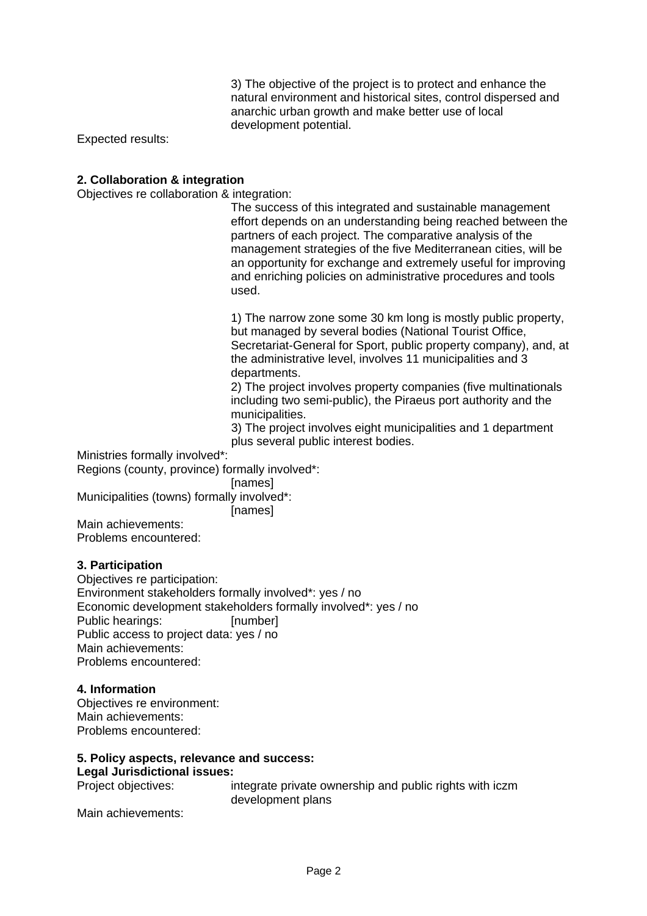3) The objective of the project is to protect and enhance the natural environment and historical sites, control dispersed and anarchic urban growth and make better use of local development potential.

Expected results:

# **2. Collaboration & integration**

Objectives re collaboration & integration:

The success of this integrated and sustainable management effort depends on an understanding being reached between the partners of each project. The comparative analysis of the management strategies of the five Mediterranean cities, will be an opportunity for exchange and extremely useful for improving and enriching policies on administrative procedures and tools used.

1) The narrow zone some 30 km long is mostly public property, but managed by several bodies (National Tourist Office, Secretariat-General for Sport, public property company), and, at the administrative level, involves 11 municipalities and 3 departments.

2) The project involves property companies (five multinationals including two semi-public), the Piraeus port authority and the municipalities.

3) The project involves eight municipalities and 1 department plus several public interest bodies.

Ministries formally involved\*:

Regions (county, province) formally involved\*:

**Inames** 

Municipalities (towns) formally involved\*:

[names]

Main achievements: Problems encountered:

# **3. Participation**

Objectives re participation: Environment stakeholders formally involved\*: yes / no Economic development stakeholders formally involved\*: yes / no Public hearings: [number] Public access to project data: yes / no Main achievements: Problems encountered:

# **4. Information**

Objectives re environment: Main achievements: Problems encountered:

# **5. Policy aspects, relevance and success: Legal Jurisdictional issues:**

Project objectives: integrate private ownership and public rights with iczm development plans

Main achievements: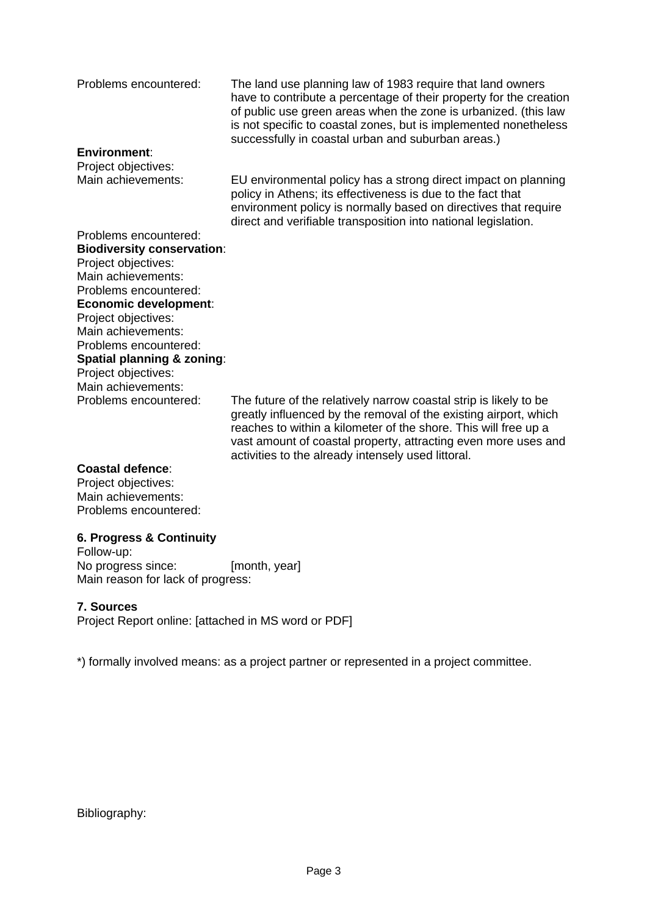Problems encountered: The land use planning law of 1983 require that land owners have to contribute a percentage of their property for the creation of public use green areas when the zone is urbanized. (this law is not specific to coastal zones, but is implemented nonetheless successfully in coastal urban and suburban areas.)

environment policy is normally based on directives that require

#### **Environment**:

Project objectives: Main achievements: EU environmental policy has a strong direct impact on planning policy in Athens; its effectiveness is due to the fact that

direct and verifiable transposition into national legislation. Problems encountered: **Biodiversity conservation**: Project objectives: Main achievements: Problems encountered: **Economic development**: Project objectives: Main achievements: Problems encountered: **Spatial planning & zoning**: Project objectives: Main achievements:

Problems encountered: The future of the relatively narrow coastal strip is likely to be greatly influenced by the removal of the existing airport, which reaches to within a kilometer of the shore. This will free up a vast amount of coastal property, attracting even more uses and

activities to the already intensely used littoral.

#### **Coastal defence**:

Project objectives: Main achievements: Problems encountered:

# **6. Progress & Continuity**

Follow-up: No progress since: [month, year] Main reason for lack of progress:

# **7. Sources**

Project Report online: [attached in MS word or PDF]

\*) formally involved means: as a project partner or represented in a project committee.